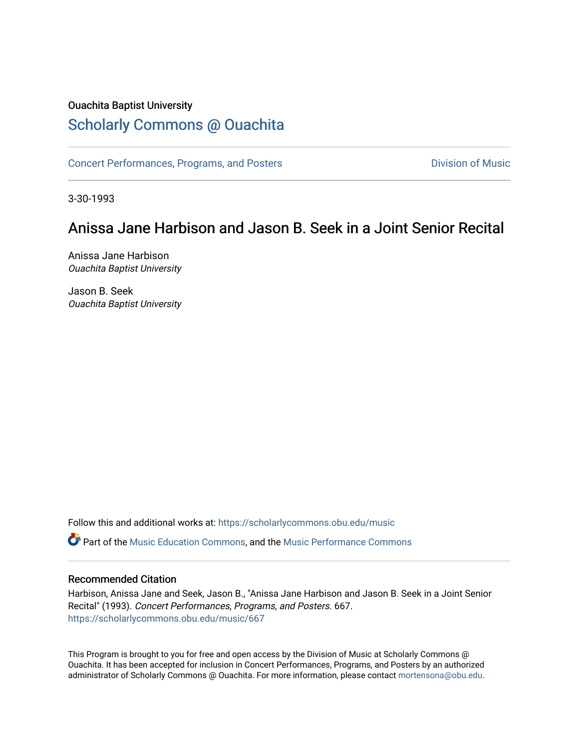### Ouachita Baptist University

# [Scholarly Commons @ Ouachita](https://scholarlycommons.obu.edu/)

[Concert Performances, Programs, and Posters](https://scholarlycommons.obu.edu/music) **Division of Music** Division of Music

3-30-1993

# Anissa Jane Harbison and Jason B. Seek in a Joint Senior Recital

Anissa Jane Harbison Ouachita Baptist University

Jason B. Seek Ouachita Baptist University

Follow this and additional works at: [https://scholarlycommons.obu.edu/music](https://scholarlycommons.obu.edu/music?utm_source=scholarlycommons.obu.edu%2Fmusic%2F667&utm_medium=PDF&utm_campaign=PDFCoverPages)  **C** Part of the [Music Education Commons,](http://network.bepress.com/hgg/discipline/1246?utm_source=scholarlycommons.obu.edu%2Fmusic%2F667&utm_medium=PDF&utm_campaign=PDFCoverPages) and the Music Performance Commons

#### Recommended Citation

Harbison, Anissa Jane and Seek, Jason B., "Anissa Jane Harbison and Jason B. Seek in a Joint Senior Recital" (1993). Concert Performances, Programs, and Posters. 667. [https://scholarlycommons.obu.edu/music/667](https://scholarlycommons.obu.edu/music/667?utm_source=scholarlycommons.obu.edu%2Fmusic%2F667&utm_medium=PDF&utm_campaign=PDFCoverPages) 

This Program is brought to you for free and open access by the Division of Music at Scholarly Commons @ Ouachita. It has been accepted for inclusion in Concert Performances, Programs, and Posters by an authorized administrator of Scholarly Commons @ Ouachita. For more information, please contact [mortensona@obu.edu](mailto:mortensona@obu.edu).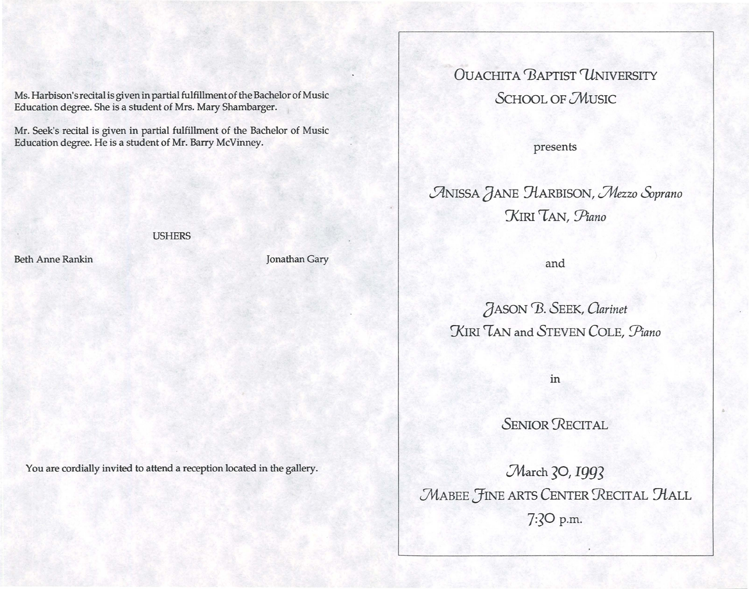Ms. Harbison's recital is given in partial fulfillment of the Bachelor of Music Education degree. She is a student of Mrs. Mary Shambarger.

Mr. Seek's recital is given in partial fulfillment of the Bachelor of Music Education degree. He is a student of Mr. Barry McVinney.

#### **USHERS**

**Beth Anne Rankin** 

Jonathan Gary

You are cordially invited to attend a reception located in the gallery.

**OUACHITA BAPTIST UNIVERSITY SCHOOL OF MUSIC** 

presents

ANISSA JANE HARBISON, Mezzo Soprano KIRI TAN, Piano

and

JASON B. SEEK, Clarinet KIRI TAN and STEVEN COLE, Piano

in

**SENIOR RECITAL** 

March 30, 1993 MABEE FINE ARTS CENTER RECITAL HALL 7:30 p.m.